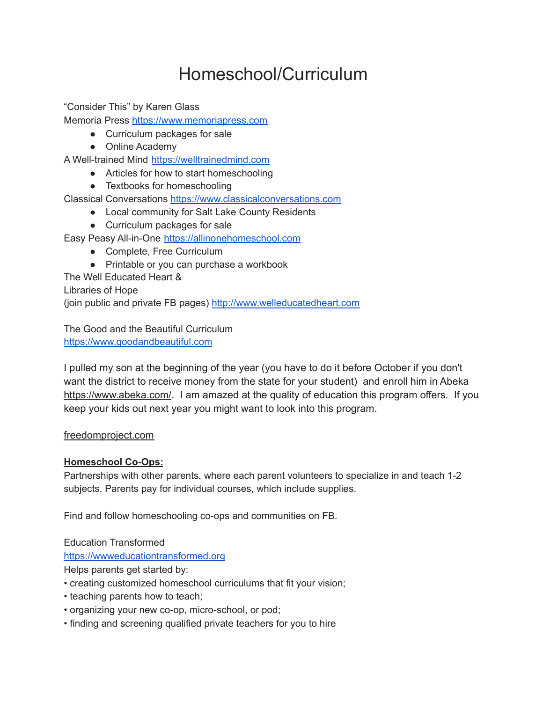# Homeschool/Curriculum

"Consider This" by Karen Glass

Memoria Press [https://www.memoriapress.com](https://www.memoriapress.com/)

- Curriculum packages for sale
- Online Academy
- A Well-trained Mind [https://welltrainedmind.com](https://welltrainedmind.com/)
	- Articles for how to start homeschooling
	- Textbooks for homeschooling

Classical Conversations [https://www.classicalconversations.com](https://www.classicalconversations.com/)

- Local community for Salt Lake County Residents
- Curriculum packages for sale

Easy Peasy All-in-One [https://allinonehomeschool.com](https://allinonehomeschool.com/)

- Complete, Free Curriculum
- Printable or you can purchase a workbook

The Well Educated Heart &

Libraries of Hope

(join public and private FB pages) [http://www.welleducatedheart.com](http://www.welleducatedheart.com/)

The Good and the Beautiful Curriculum [https://www.goodandbeautiful.com](https://www.goodandbeautiful.com/)

I pulled my son at the beginning of the year (you have to do it before October if you don't want the district to receive money from the state for your student) and enroll him in Abeka <https://www.abeka.com/>. I am amazed at the quality of education this program offers. If you keep your kids out next year you might want to look into this program.

# [freedomproject.com](http://freedomproject.com)

# **Homeschool Co-Ops:**

Partnerships with other parents, where each parent volunteers to specialize in and teach 1-2 subjects. Parents pay for individual courses, which include supplies.

Find and follow homeschooling co-ops and communities on FB.

Education Transformed

[https://wwweducationtransformed.org](https://wwweducationtransformed.org/)

Helps parents get started by:

- creating customized homeschool curriculums that fit your vision;
- teaching parents how to teach;
- organizing your new co-op, micro-school, or pod;
- finding and screening qualified private teachers for you to hire